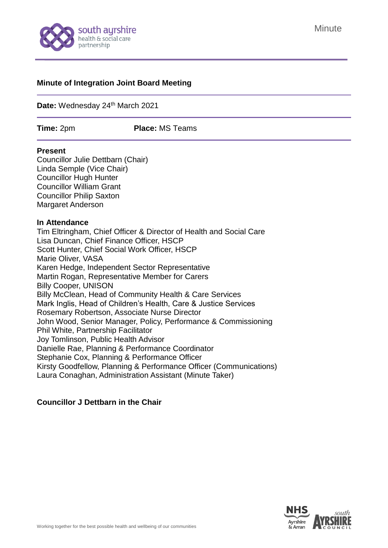

#### **Minute of Integration Joint Board Meeting**

Date: Wednesday 24<sup>th</sup> March 2021

**Time:** 2pm **Place:** MS Teams

#### **Present**

Councillor Julie Dettbarn (Chair) Linda Semple (Vice Chair) Councillor Hugh Hunter Councillor William Grant Councillor Philip Saxton Margaret Anderson

#### **In Attendance**

Tim Eltringham, Chief Officer & Director of Health and Social Care Lisa Duncan, Chief Finance Officer, HSCP Scott Hunter, Chief Social Work Officer, HSCP Marie Oliver, VASA Karen Hedge, Independent Sector Representative Martin Rogan, Representative Member for Carers Billy Cooper, UNISON Billy McClean, Head of Community Health & Care Services Mark Inglis, Head of Children's Health, Care & Justice Services Rosemary Robertson, Associate Nurse Director John Wood, Senior Manager, Policy, Performance & Commissioning Phil White, Partnership Facilitator Joy Tomlinson, Public Health Advisor Danielle Rae, Planning & Performance Coordinator Stephanie Cox, Planning & Performance Officer Kirsty Goodfellow, Planning & Performance Officer (Communications) Laura Conaghan, Administration Assistant (Minute Taker)

## **Councillor J Dettbarn in the Chair**

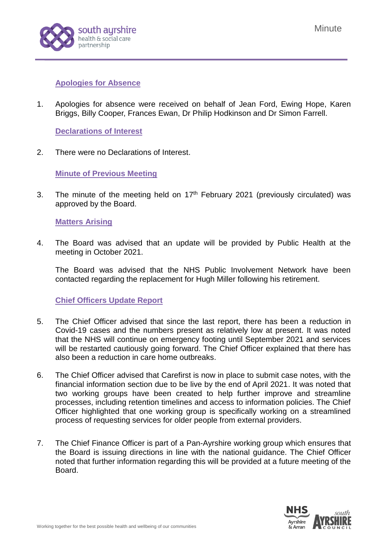

# **Apologies for Absence**

1. Apologies for absence were received on behalf of Jean Ford, Ewing Hope, Karen Briggs, Billy Cooper, Frances Ewan, Dr Philip Hodkinson and Dr Simon Farrell.

**Declarations of Interest**

2. There were no Declarations of Interest.

**Minute of Previous Meeting**

3. The minute of the meeting held on  $17<sup>th</sup>$  February 2021 [\(previously circulated\)](https://www.south-ayrshire.gov.uk/health-social-care-partnership/documents/item%203%20-%20ijb%20minute%2025.11.20%20ijb%202020%2012%2016.pdf) was approved by the Board.

## **Matters Arising**

4. The Board was advised that an update will be provided by Public Health at the meeting in October 2021.

The Board was advised that the NHS Public Involvement Network have been contacted regarding the replacement for Hugh Miller following his retirement.

## **Chief Officers Update Report**

- 5. The Chief Officer advised that since the last report, there has been a reduction in Covid-19 cases and the numbers present as relatively low at present. It was noted that the NHS will continue on emergency footing until September 2021 and services will be restarted cautiously going forward. The Chief Officer explained that there has also been a reduction in care home outbreaks.
- 6. The Chief Officer advised that Carefirst is now in place to submit case notes, with the financial information section due to be live by the end of April 2021. It was noted that two working groups have been created to help further improve and streamline processes, including retention timelines and access to information policies. The Chief Officer highlighted that one working group is specifically working on a streamlined process of requesting services for older people from external providers.
- 7. The Chief Finance Officer is part of a Pan-Ayrshire working group which ensures that the Board is issuing directions in line with the national guidance. The Chief Officer noted that further information regarding this will be provided at a future meeting of the Board.

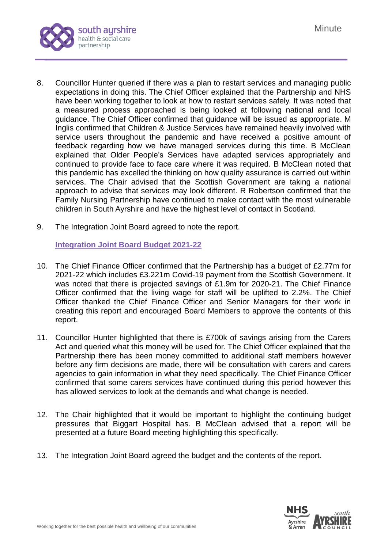

- 8. Councillor Hunter queried if there was a plan to restart services and managing public expectations in doing this. The Chief Officer explained that the Partnership and NHS have been working together to look at how to restart services safely. It was noted that a measured process approached is being looked at following national and local guidance. The Chief Officer confirmed that guidance will be issued as appropriate. M Inglis confirmed that Children & Justice Services have remained heavily involved with service users throughout the pandemic and have received a positive amount of feedback regarding how we have managed services during this time. B McClean explained that Older People's Services have adapted services appropriately and continued to provide face to face care where it was required. B McClean noted that this pandemic has excelled the thinking on how quality assurance is carried out within services. The Chair advised that the Scottish Government are taking a national approach to advise that services may look different. R Robertson confirmed that the Family Nursing Partnership have continued to make contact with the most vulnerable children in South Ayrshire and have the highest level of contact in Scotland.
- 9. The Integration Joint Board agreed to note the report.

**Integration Joint Board Budget 2021-22**

- 10. The Chief Finance Officer confirmed that the Partnership has a budget of £2.77m for 2021-22 which includes £3.221m Covid-19 payment from the Scottish Government. It was noted that there is projected savings of £1.9m for 2020-21. The Chief Finance Officer confirmed that the living wage for staff will be uplifted to 2.2%. The Chief Officer thanked the Chief Finance Officer and Senior Managers for their work in creating this report and encouraged Board Members to approve the contents of this report.
- 11. Councillor Hunter highlighted that there is £700k of savings arising from the Carers Act and queried what this money will be used for. The Chief Officer explained that the Partnership there has been money committed to additional staff members however before any firm decisions are made, there will be consultation with carers and carers agencies to gain information in what they need specifically. The Chief Finance Officer confirmed that some carers services have continued during this period however this has allowed services to look at the demands and what change is needed.
- 12. The Chair highlighted that it would be important to highlight the continuing budget pressures that Biggart Hospital has. B McClean advised that a report will be presented at a future Board meeting highlighting this specifically.
- 13. The Integration Joint Board agreed the budget and the contents of the report.

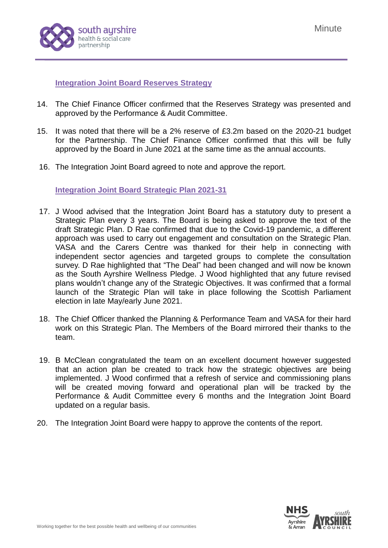

**Integration Joint Board Reserves Strategy** 

- 14. The Chief Finance Officer confirmed that the Reserves Strategy was presented and approved by the Performance & Audit Committee.
- 15. It was noted that there will be a 2% reserve of £3.2m based on the 2020-21 budget for the Partnership. The Chief Finance Officer confirmed that this will be fully approved by the Board in June 2021 at the same time as the annual accounts.
- 16. The Integration Joint Board agreed to note and approve the report.

**Integration Joint Board Strategic Plan 2021-31**

- 17. J Wood advised that the Integration Joint Board has a statutory duty to present a Strategic Plan every 3 years. The Board is being asked to approve the text of the draft Strategic Plan. D Rae confirmed that due to the Covid-19 pandemic, a different approach was used to carry out engagement and consultation on the Strategic Plan. VASA and the Carers Centre was thanked for their help in connecting with independent sector agencies and targeted groups to complete the consultation survey. D Rae highlighted that "The Deal" had been changed and will now be known as the South Ayrshire Wellness Pledge. J Wood highlighted that any future revised plans wouldn't change any of the Strategic Objectives. It was confirmed that a formal launch of the Strategic Plan will take in place following the Scottish Parliament election in late May/early June 2021.
- 18. The Chief Officer thanked the Planning & Performance Team and VASA for their hard work on this Strategic Plan. The Members of the Board mirrored their thanks to the team.
- 19. B McClean congratulated the team on an excellent document however suggested that an action plan be created to track how the strategic objectives are being implemented. J Wood confirmed that a refresh of service and commissioning plans will be created moving forward and operational plan will be tracked by the Performance & Audit Committee every 6 months and the Integration Joint Board updated on a regular basis.
- 20. The Integration Joint Board were happy to approve the contents of the report.